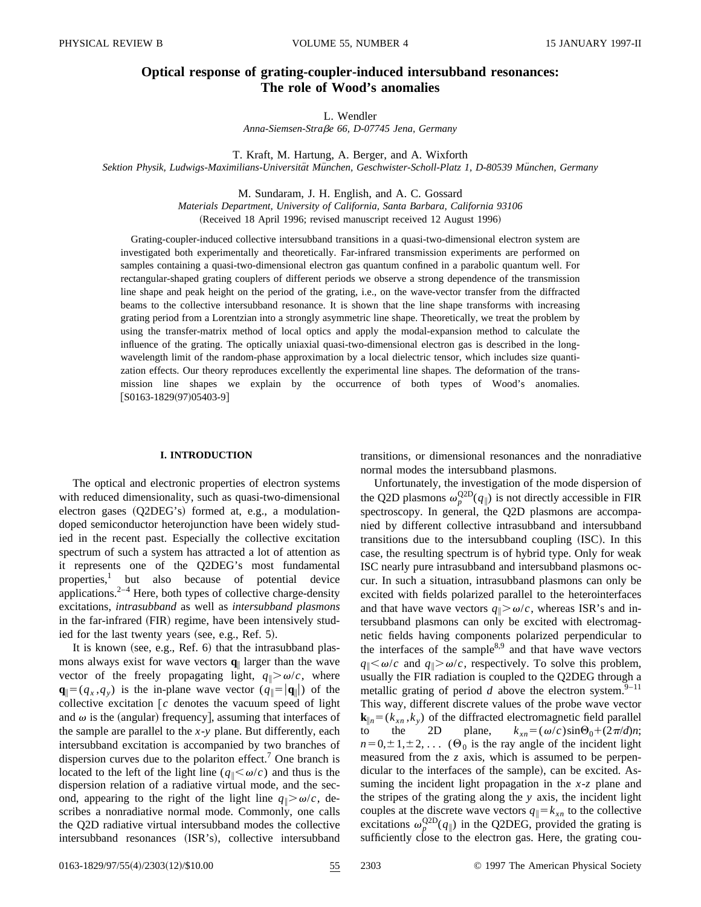# **Optical response of grating-coupler-induced intersubband resonances: The role of Wood's anomalies**

L. Wendler

*Anna-Siemsen-Stra*b*e 66, D-07745 Jena, Germany*

T. Kraft, M. Hartung, A. Berger, and A. Wixforth

Sektion Physik, Ludwigs-Maximilians-Universität München, Geschwister-Scholl-Platz 1, D-80539 München, Germany

M. Sundaram, J. H. English, and A. C. Gossard *Materials Department, University of California, Santa Barbara, California 93106* (Received 18 April 1996; revised manuscript received 12 August 1996)

Grating-coupler-induced collective intersubband transitions in a quasi-two-dimensional electron system are investigated both experimentally and theoretically. Far-infrared transmission experiments are performed on samples containing a quasi-two-dimensional electron gas quantum confined in a parabolic quantum well. For rectangular-shaped grating couplers of different periods we observe a strong dependence of the transmission line shape and peak height on the period of the grating, i.e., on the wave-vector transfer from the diffracted beams to the collective intersubband resonance. It is shown that the line shape transforms with increasing grating period from a Lorentzian into a strongly asymmetric line shape. Theoretically, we treat the problem by using the transfer-matrix method of local optics and apply the modal-expansion method to calculate the influence of the grating. The optically uniaxial quasi-two-dimensional electron gas is described in the longwavelength limit of the random-phase approximation by a local dielectric tensor, which includes size quantization effects. Our theory reproduces excellently the experimental line shapes. The deformation of the transmission line shapes we explain by the occurrence of both types of Wood's anomalies.  $[$ S0163-1829(97)05403-9]

#### **I. INTRODUCTION**

The optical and electronic properties of electron systems with reduced dimensionality, such as quasi-two-dimensional electron gases  $(Q2DEG's)$  formed at, e.g., a modulationdoped semiconductor heterojunction have been widely studied in the recent past. Especially the collective excitation spectrum of such a system has attracted a lot of attention as it represents one of the Q2DEG's most fundamental properties, $\frac{1}{1}$  but also because of potential device applications. $2^{-4}$  Here, both types of collective charge-density excitations, *intrasubband* as well as *intersubband plasmons* in the far-infrared (FIR) regime, have been intensively studied for the last twenty years (see, e.g., Ref.  $5$ ).

It is known (see, e.g., Ref.  $6$ ) that the intrasubband plasmons always exist for wave vectors  $q_{\parallel}$  larger than the wave vector of the freely propagating light,  $q_{\parallel} > \omega/c$ , where  $\mathbf{q}$ <sup> $\parallel$ </sup> $=$  (*q<sub>x</sub>*,*q<sub>y</sub>*) is the in-plane wave vector (*q*<sub>||</sub> $=$  |**q**<sub>||</sub>|) of the collective excitation  $[c$  denotes the vacuum speed of light and  $\omega$  is the (angular) frequency], assuming that interfaces of the sample are parallel to the *x*-*y* plane. But differently, each intersubband excitation is accompanied by two branches of dispersion curves due to the polariton effect.<sup>7</sup> One branch is located to the left of the light line ( $q \leq \omega/c$ ) and thus is the dispersion relation of a radiative virtual mode, and the second, appearing to the right of the light line  $q_{\parallel} > \omega/c$ , describes a nonradiative normal mode. Commonly, one calls the Q2D radiative virtual intersubband modes the collective intersubband resonances (ISR's), collective intersubband transitions, or dimensional resonances and the nonradiative normal modes the intersubband plasmons.

Unfortunately, the investigation of the mode dispersion of the Q2D plasmons  $\omega_p^{\text{Q2D}}(q_{\parallel})$  is not directly accessible in FIR spectroscopy. In general, the Q2D plasmons are accompanied by different collective intrasubband and intersubband transitions due to the intersubband coupling (ISC). In this case, the resulting spectrum is of hybrid type. Only for weak ISC nearly pure intrasubband and intersubband plasmons occur. In such a situation, intrasubband plasmons can only be excited with fields polarized parallel to the heterointerfaces and that have wave vectors  $q_{\parallel} > \omega/c$ , whereas ISR's and intersubband plasmons can only be excited with electromagnetic fields having components polarized perpendicular to the interfaces of the sample $8,9$  and that have wave vectors  $q$ <sup> $\parallel$ </sup>  $\leq \omega/c$  and  $q$ <sup> $\parallel$ </sup>  $\geq \omega/c$ , respectively. To solve this problem, usually the FIR radiation is coupled to the Q2DEG through a metallic grating of period  $d$  above the electron system.<sup>9–11</sup> This way, different discrete values of the probe wave vector  $\mathbf{k}_{\parallel n} = (k_{xn}, k_y)$  of the diffracted electromagnetic field parallel<br>to the 2D plane,  $k_{xn} = (\omega/c) \sin \Theta_0 + (2\pi/d)n$ ; to the 2D plane,  $k_{xn} = (\omega/c)\sin\Theta_0 + (2\pi/d)n$ ;  $n=0,\pm 1,\pm 2,\ldots$  ( $\Theta_0$  is the ray angle of the incident light measured from the *z* axis, which is assumed to be perpendicular to the interfaces of the sample), can be excited. Assuming the incident light propagation in the *x*-*z* plane and the stripes of the grating along the *y* axis, the incident light couples at the discrete wave vectors  $q_{\parallel} = k_{xn}$  to the collective excitations  $\omega_p^{\text{Q2D}}(q_{\parallel})$  in the Q2DEG, provided the grating is sufficiently close to the electron gas. Here, the grating cou-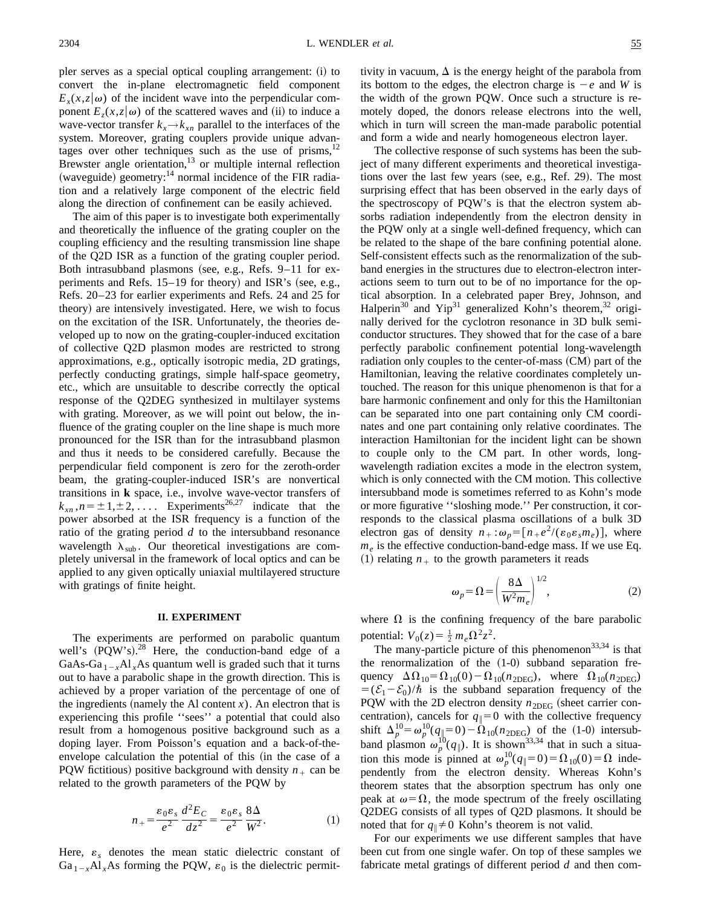pler serves as a special optical coupling arrangement: (i) to convert the in-plane electromagnetic field component  $E_{x}(x,z|\omega)$  of the incident wave into the perpendicular component  $E(x, z|\omega)$  of the scattered waves and (ii) to induce a wave-vector transfer  $k_x \rightarrow k_{xn}$  parallel to the interfaces of the system. Moreover, grating couplers provide unique advantages over other techniques such as the use of prisms, $12$ Brewster angle orientation,<sup>13</sup> or multiple internal reflection (waveguide) geometry:<sup>14</sup> normal incidence of the FIR radiation and a relatively large component of the electric field along the direction of confinement can be easily achieved.

The aim of this paper is to investigate both experimentally and theoretically the influence of the grating coupler on the coupling efficiency and the resulting transmission line shape of the Q2D ISR as a function of the grating coupler period. Both intrasubband plasmons (see, e.g., Refs.  $9-11$  for experiments and Refs.  $15-19$  for theory) and ISR's (see, e.g., Refs. 20–23 for earlier experiments and Refs. 24 and 25 for theory) are intensively investigated. Here, we wish to focus on the excitation of the ISR. Unfortunately, the theories developed up to now on the grating-coupler-induced excitation of collective Q2D plasmon modes are restricted to strong approximations, e.g., optically isotropic media, 2D gratings, perfectly conducting gratings, simple half-space geometry, etc., which are unsuitable to describe correctly the optical response of the Q2DEG synthesized in multilayer systems with grating. Moreover, as we will point out below, the influence of the grating coupler on the line shape is much more pronounced for the ISR than for the intrasubband plasmon and thus it needs to be considered carefully. Because the perpendicular field component is zero for the zeroth-order beam, the grating-coupler-induced ISR's are nonvertical transitions in **k** space, i.e., involve wave-vector transfers of  $k_{xn}$ ,  $n = \pm 1, \pm 2, \ldots$ . Experiments<sup>26,27</sup> indicate that the power absorbed at the ISR frequency is a function of the ratio of the grating period *d* to the intersubband resonance wavelength  $\lambda_{sub}$ . Our theoretical investigations are completely universal in the framework of local optics and can be applied to any given optically uniaxial multilayered structure with gratings of finite height.

#### **II. EXPERIMENT**

The experiments are performed on parabolic quantum well's  $(PQW's)$ .<sup>28</sup> Here, the conduction-band edge of a GaAs-Ga $_{1-x}$ Al  $_{x}$ As quantum well is graded such that it turns out to have a parabolic shape in the growth direction. This is achieved by a proper variation of the percentage of one of the ingredients (namely the Al content  $x$ ). An electron that is experiencing this profile ''sees'' a potential that could also result from a homogenous positive background such as a doping layer. From Poisson's equation and a back-of-theenvelope calculation the potential of this (in the case of a PQW fictitious) positive background with density  $n_+$  can be related to the growth parameters of the PQW by

$$
n_{+} = \frac{\varepsilon_0 \varepsilon_s}{e^2} \frac{d^2 E_C}{dz^2} = \frac{\varepsilon_0 \varepsilon_s}{e^2} \frac{8\Delta}{W^2}.
$$
 (1)

Here,  $\varepsilon$  denotes the mean static dielectric constant of  $Ga_{1-x}Al_xAs$  forming the PQW,  $\varepsilon_0$  is the dielectric permittivity in vacuum,  $\Delta$  is the energy height of the parabola from its bottom to the edges, the electron charge is  $-e$  and *W* is the width of the grown PQW. Once such a structure is remotely doped, the donors release electrons into the well, which in turn will screen the man-made parabolic potential and form a wide and nearly homogeneous electron layer.

The collective response of such systems has been the subject of many different experiments and theoretical investigations over the last few years (see, e.g., Ref. 29). The most surprising effect that has been observed in the early days of the spectroscopy of PQW's is that the electron system absorbs radiation independently from the electron density in the PQW only at a single well-defined frequency, which can be related to the shape of the bare confining potential alone. Self-consistent effects such as the renormalization of the subband energies in the structures due to electron-electron interactions seem to turn out to be of no importance for the optical absorption. In a celebrated paper Brey, Johnson, and Halperin<sup>30</sup> and Yip<sup>31</sup> generalized Kohn's theorem,<sup>32</sup> originally derived for the cyclotron resonance in 3D bulk semiconductor structures. They showed that for the case of a bare perfectly parabolic confinement potential long-wavelength radiation only couples to the center-of-mass  $(CM)$  part of the Hamiltonian, leaving the relative coordinates completely untouched. The reason for this unique phenomenon is that for a bare harmonic confinement and only for this the Hamiltonian can be separated into one part containing only CM coordinates and one part containing only relative coordinates. The interaction Hamiltonian for the incident light can be shown to couple only to the CM part. In other words, longwavelength radiation excites a mode in the electron system, which is only connected with the CM motion. This collective intersubband mode is sometimes referred to as Kohn's mode or more figurative ''sloshing mode.'' Per construction, it corresponds to the classical plasma oscillations of a bulk 3D electron gas of density  $n_+ : \omega_p = [n_+e^2/(\varepsilon_0 \varepsilon_s m_e)],$  where  $m_e$  is the effective conduction-band-edge mass. If we use Eq.  $(1)$  relating  $n_+$  to the growth parameters it reads

$$
\omega_p = \Omega = \left(\frac{8\,\Delta}{W^2 m_e}\right)^{1/2},\tag{2}
$$

where  $\Omega$  is the confining frequency of the bare parabolic potential:  $V_0(z) = \frac{1}{2} m_e \Omega^2 z^2$ .

The many-particle picture of this phenomenon<sup>33,34</sup> is that the renormalization of the  $(1-0)$  subband separation frequency  $\Delta\Omega_{10} = \Omega_{10}(0) - \Omega_{10}(n_{2DEG})$ , where  $\Omega_{10}(n_{2DEG})$  $=({\mathcal{E}}_1-{\mathcal{E}}_0)/\hbar$  is the subband separation frequency of the PQW with the 2D electron density  $n_{2DEG}$  (sheet carrier concentration), cancels for  $q_{\parallel}=0$  with the collective frequency shift  $\Delta_p^{10} = \omega_p^{10}(q_{\parallel} = 0) - \Omega_{10}(n_{2DEG})$  of the (1-0) intersubband plasmon  $\omega_p^{10}(q_{\parallel})$ . It is shown<sup>33,34</sup> that in such a situation this mode is pinned at  $\omega_p^{10}(q_0=0) = \Omega_{10}(0) = \Omega$  independently from the electron density. Whereas Kohn's theorem states that the absorption spectrum has only one peak at  $\omega = \Omega$ , the mode spectrum of the freely oscillating Q2DEG consists of all types of Q2D plasmons. It should be noted that for  $q_{\parallel} \neq 0$  Kohn's theorem is not valid.

For our experiments we use different samples that have been cut from one single wafer. On top of these samples we fabricate metal gratings of different period *d* and then com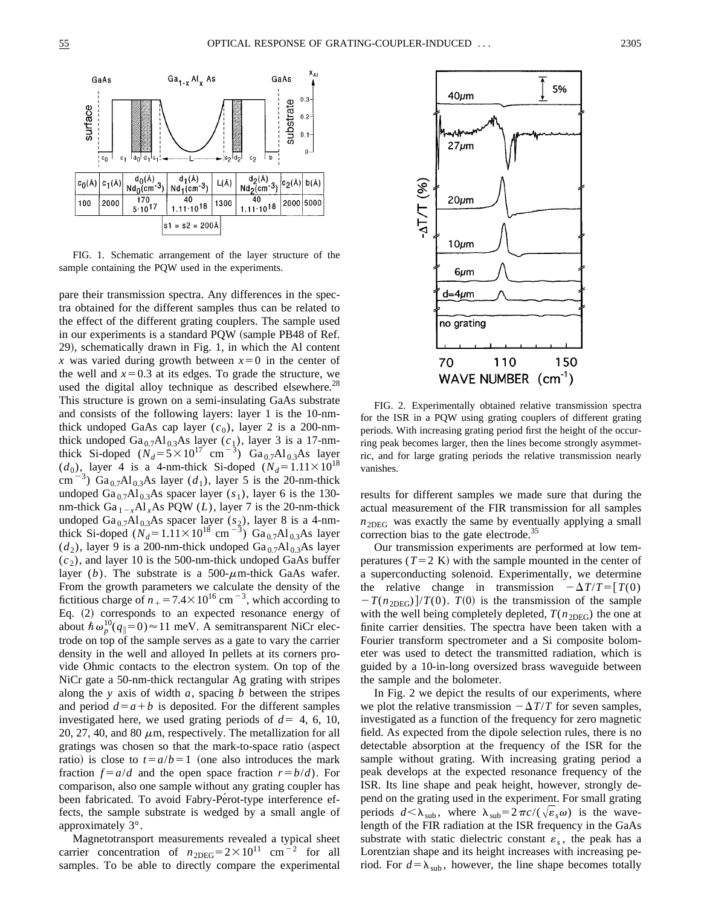GaAs

 $c_0$ 

surface





FIG. 1. Schematic arrangement of the layer structure of the sample containing the PQW used in the experiments.

pare their transmission spectra. Any differences in the spectra obtained for the different samples thus can be related to the effect of the different grating couplers. The sample used in our experiments is a standard PQW (sample PB48 of Ref. 29), schematically drawn in Fig. 1, in which the Al content *x* was varied during growth between  $x=0$  in the center of the well and  $x=0.3$  at its edges. To grade the structure, we used the digital alloy technique as described elsewhere.<sup>28</sup> This structure is grown on a semi-insulating GaAs substrate and consists of the following layers: layer 1 is the 10-nmthick undoped GaAs cap layer  $(c_0)$ , layer 2 is a 200-nmthick undoped  $Ga_{0.7}Al_{0.3}As$  layer  $(c_1)$ , layer 3 is a 17-nmthick Si-doped  $(N_d=5\times10^{17} \text{ cm}^{-3})$  Ga<sub>0.7</sub>Al<sub>0.3</sub>As layer  $(d_0)$ , layer 4 is a 4-nm-thick Si-doped  $(N_d=1.11\times10^{18})$ cm<sup>-3</sup>) Ga<sub>0.7</sub>Al<sub>0.3</sub>As layer (*d*<sub>1</sub>), layer 5 is the 20-nm-thick</sub> undoped Ga<sub>0.7</sub>Al<sub>0.3</sub>As spacer layer  $(s_1)$ , layer 6 is the 130nm-thick  $Ga_{1-x}Al_xAs$  PQW (*L*), layer 7 is the 20-nm-thick undoped  $Ga_{0.7}Al_{0.3}As$  spacer layer ( $s_2$ ), layer 8 is a 4-nmthick Si-doped ( $N_d$ =1.11×10<sup>18</sup> cm<sup>-3</sup>) Ga<sub>0.7</sub>Al<sub>0.3</sub>As layer  $(d_2)$ , layer 9 is a 200-nm-thick undoped  $Ga_{0.7}Al_{0.3}As$  layer  $(c<sub>2</sub>)$ , and layer 10 is the 500-nm-thick undoped GaAs buffer layer (*b*). The substrate is a 500- $\mu$ m-thick GaAs wafer. From the growth parameters we calculate the density of the fictitious charge of  $n_+$  = 7.4×10<sup>16</sup> cm<sup>-3</sup>, which according to Eq. (2) corresponds to an expected resonance energy of about  $\hbar \omega_p^{10}(q_{\parallel}=0) \approx 11$  meV. A semitransparent NiCr electrode on top of the sample serves as a gate to vary the carrier density in the well and alloyed In pellets at its corners provide Ohmic contacts to the electron system. On top of the NiCr gate a 50-nm-thick rectangular Ag grating with stripes along the *y* axis of width *a*, spacing *b* between the stripes and period  $d=a+b$  is deposited. For the different samples investigated here, we used grating periods of  $d=4, 6, 10,$ 20, 27, 40, and 80  $\mu$ m, respectively. The metallization for all gratings was chosen so that the mark-to-space ratio (aspect ratio) is close to  $t=a/b=1$  (one also introduces the mark fraction  $f = a/d$  and the open space fraction  $r = b/d$ ). For comparison, also one sample without any grating coupler has been fabricated. To avoid Fabry-Pérot-type interference effects, the sample substrate is wedged by a small angle of approximately 3°.

Magnetotransport measurements revealed a typical sheet carrier concentration of  $n_{2DEG} = 2 \times 10^{11}$  cm<sup>-2</sup> for all samples. To be able to directly compare the experimental



FIG. 2. Experimentally obtained relative transmission spectra for the ISR in a PQW using grating couplers of different grating periods. With increasing grating period first the height of the occurring peak becomes larger, then the lines become strongly asymmetric, and for large grating periods the relative transmission nearly vanishes.

results for different samples we made sure that during the actual measurement of the FIR transmission for all samples  $n_{2DEG}$  was exactly the same by eventually applying a small correction bias to the gate electrode.<sup>35</sup>

Our transmission experiments are performed at low temperatures  $(T=2 K)$  with the sample mounted in the center of a superconducting solenoid. Experimentally, we determine the relative change in transmission  $-\Delta T/T = [T(0)]$  $-T(n_{2DEG})$ /*T*(0). *T*(0) is the transmission of the sample with the well being completely depleted,  $T(n_{2DEG})$  the one at finite carrier densities. The spectra have been taken with a Fourier transform spectrometer and a Si composite bolometer was used to detect the transmitted radiation, which is guided by a 10-in-long oversized brass waveguide between the sample and the bolometer.

In Fig. 2 we depict the results of our experiments, where we plot the relative transmission  $-\Delta T/T$  for seven samples, investigated as a function of the frequency for zero magnetic field. As expected from the dipole selection rules, there is no detectable absorption at the frequency of the ISR for the sample without grating. With increasing grating period a peak develops at the expected resonance frequency of the ISR. Its line shape and peak height, however, strongly depend on the grating used in the experiment. For small grating periods  $d < \lambda_{sub}$ , where  $\lambda_{sub} = 2\pi c/(\sqrt{\varepsilon_s \omega})$  is the wavelength of the FIR radiation at the ISR frequency in the GaAs substrate with static dielectric constant  $\varepsilon_s$ , the peak has a Lorentzian shape and its height increases with increasing period. For  $d = \lambda_{sub}$ , however, the line shape becomes totally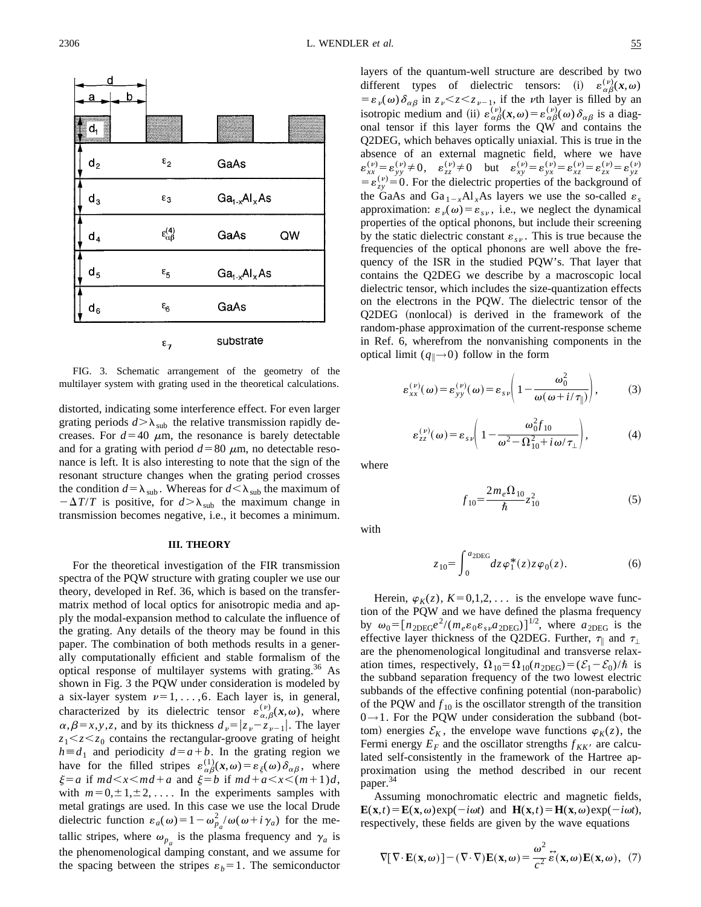

FIG. 3. Schematic arrangement of the geometry of the multilayer system with grating used in the theoretical calculations.

distorted, indicating some interference effect. For even larger grating periods  $d > \lambda_{sub}$  the relative transmission rapidly decreases. For  $d=40 \mu m$ , the resonance is barely detectable and for a grating with period  $d=80 \mu m$ , no detectable resonance is left. It is also interesting to note that the sign of the resonant structure changes when the grating period crosses the condition  $d = \lambda_{sub}$ . Whereas for  $d < \lambda_{sub}$  the maximum of  $-\Delta T/T$  is positive, for  $d > \lambda_{sub}$  the maximum change in transmission becomes negative, i.e., it becomes a minimum.

#### **III. THEORY**

For the theoretical investigation of the FIR transmission spectra of the PQW structure with grating coupler we use our theory, developed in Ref. 36, which is based on the transfermatrix method of local optics for anisotropic media and apply the modal-expansion method to calculate the influence of the grating. Any details of the theory may be found in this paper. The combination of both methods results in a generally computationally efficient and stable formalism of the optical response of multilayer systems with grating.<sup>36</sup> As shown in Fig. 3 the PQW under consideration is modeled by a six-layer system  $\nu=1, \ldots, 6$ . Each layer is, in general, characterized by its dielectric tensor  $\varepsilon_{\alpha,\beta}^{(\nu)}(x,\omega)$ , where  $\alpha, \beta = x, y, z$ , and by its thickness  $d_{\nu} = |z_{\nu} - z_{\nu-1}|$ . The layer  $z_1$   $\lt$  *z* $\lt$  $z_0$  contains the rectangular-groove grating of height  $h \equiv d_1$  and periodicity  $d = a + b$ . In the grating region we have for the filled stripes  $\varepsilon_{\alpha\beta}^{(1)}(x,\omega) = \varepsilon_{\xi}(\omega)\delta_{\alpha\beta}$ , where  $\xi=a$  if  $md and  $\xi=b$  if  $md+a,$$ with  $m=0,\pm 1,\pm 2,\ldots$ . In the experiments samples with metal gratings are used. In this case we use the local Drude dielectric function  $\varepsilon_a(\omega) = 1 - \omega_{p_a}^2 / \omega(\omega + i \gamma_a)$  for the metallic stripes, where  $\omega_{p_a}$  is the plasma frequency and  $\gamma_a$  is the phenomenological damping constant, and we assume for the spacing between the stripes  $\varepsilon_b = 1$ . The semiconductor layers of the quantum-well structure are described by two different types of dielectric tensors: (i)  $\varepsilon_{\alpha\beta}^{(\nu)}(x,\omega)$  $= \varepsilon_{\nu}(\omega)\delta_{\alpha\beta}$  in  $z_{\nu} < z < z_{\nu-1}$ , if the *v*th layer is filled by an isotropic medium and (ii)  $\varepsilon_{\alpha\beta}^{(\nu)}(x,\omega) = \varepsilon_{\alpha\beta}^{(\nu)}(\omega) \delta_{\alpha\beta}$  is a diagonal tensor if this layer forms the QW and contains the Q2DEG, which behaves optically uniaxial. This is true in the absence of an external magnetic field, where we have  $\varepsilon_{xx}^{(\nu)} = \varepsilon_{yy}^{(\nu)} \neq 0$ ,  $\varepsilon_{zz}^{(\nu)} \neq 0$  but  $\varepsilon_{xy}^{(\nu)} = \varepsilon_{yx}^{(\nu)} = \varepsilon_{xz}^{(\nu)} = \varepsilon_{zx}^{(\nu)} = \varepsilon_{yz}^{(\nu)}$  $= \varepsilon_{zy}^{(\nu)} = 0$ . For the dielectric properties of the background of the GaAs and Ga<sub>1-*x*</sub>Al<sub>*x*</sub>As layers we use the so-called  $\varepsilon$ <sub>s</sub> approximation:  $\varepsilon_{\nu}(\omega) = \varepsilon_{s\nu}$ , i.e., we neglect the dynamical properties of the optical phonons, but include their screening by the static dielectric constant  $\varepsilon_{s\nu}$ . This is true because the frequencies of the optical phonons are well above the frequency of the ISR in the studied PQW's. That layer that contains the Q2DEG we describe by a macroscopic local dielectric tensor, which includes the size-quantization effects on the electrons in the PQW. The dielectric tensor of the Q2DEG (nonlocal) is derived in the framework of the random-phase approximation of the current-response scheme in Ref. 6, wherefrom the nonvanishing components in the optical limit ( $q_{\parallel} \rightarrow 0$ ) follow in the form

$$
\varepsilon_{xx}^{(\nu)}(\omega) = \varepsilon_{yy}^{(\nu)}(\omega) = \varepsilon_{s\nu} \left( 1 - \frac{\omega_0^2}{\omega(\omega + i/\tau_{\parallel})} \right), \tag{3}
$$

$$
\varepsilon_{zz}^{(\nu)}(\omega) = \varepsilon_{s\nu} \left( 1 - \frac{\omega_0^2 f_{10}}{\omega^2 - \Omega_{10}^2 + i\omega/\tau_\perp} \right),\tag{4}
$$

where

$$
f_{10} = \frac{2m_e \Omega_{10}}{\hbar} z_{10}^2 \tag{5}
$$

with

$$
z_{10} = \int_0^{a_{2DEG}} dz \,\varphi_1^*(z) z \,\varphi_0(z). \tag{6}
$$

Herein,  $\varphi_K(z)$ ,  $K=0,1,2,...$  is the envelope wave function of the PQW and we have defined the plasma frequency by  $\omega_0 = [n_{2DEG}e^2/(m_e\epsilon_0\epsilon_{s\nu}a_{2DEG})]^{1/2}$ , where  $a_{2DEG}$  is the effective layer thickness of the Q2DEG. Further,  $\tau_{\parallel}$  and  $\tau_{\perp}$ are the phenomenological longitudinal and transverse relaxation times, respectively,  $\Omega_{10} = \Omega_{10}(n_{2DEG}) = (\mathcal{E}_1 - \mathcal{E}_0)/\hbar$  is the subband separation frequency of the two lowest electric subbands of the effective confining potential (non-parabolic) of the PQW and  $f_{10}$  is the oscillator strength of the transition  $0 \rightarrow 1$ . For the PQW under consideration the subband (bottom) energies  $\mathcal{E}_K$ , the envelope wave functions  $\varphi_K(z)$ , the Fermi energy  $E_F$  and the oscillator strengths  $f_{KK}$  are calculated self-consistently in the framework of the Hartree approximation using the method described in our recent paper.<sup>34</sup>

Assuming monochromatic electric and magnetic fields,  $\mathbf{E}(\mathbf{x},t) = \mathbf{E}(\mathbf{x},\omega) \exp(-i\omega t)$  and  $\mathbf{H}(\mathbf{x},t) = \mathbf{H}(\mathbf{x},\omega) \exp(-i\omega t)$ , respectively, these fields are given by the wave equations

$$
\nabla[\nabla \cdot \mathbf{E}(\mathbf{x}, \omega)] - (\nabla \cdot \nabla)\mathbf{E}(\mathbf{x}, \omega) = \frac{\omega^2}{c^2} \tilde{\varepsilon}(\mathbf{x}, \omega) \mathbf{E}(\mathbf{x}, \omega), (7)
$$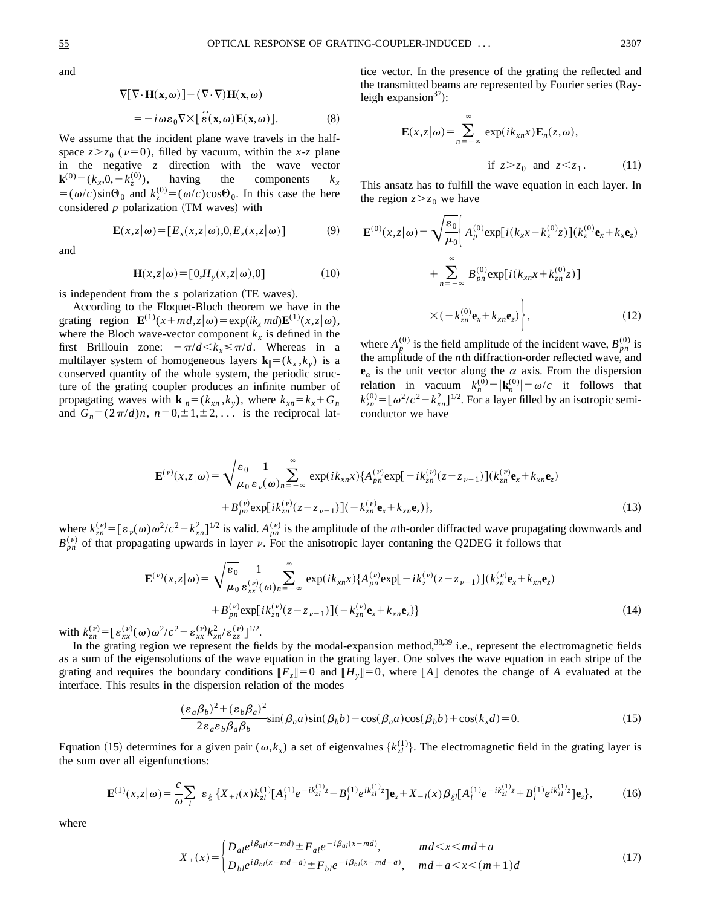and

$$
\nabla[\nabla \cdot \mathbf{H}(\mathbf{x}, \omega)] - (\nabla \cdot \nabla) \mathbf{H}(\mathbf{x}, \omega)
$$
  
=  $-i \omega \varepsilon_0 \nabla \times [\vec{\varepsilon}(\mathbf{x}, \omega) \mathbf{E}(\mathbf{x}, \omega)].$  (8)

We assume that the incident plane wave travels in the halfspace  $z > z_0$  ( $\nu=0$ ), filled by vacuum, within the *x*-*z* plane in the negative *z* direction with the wave vector  $\mathbf{k}^{(0)} = (k_x, 0, -k_z^{(0)}),$ having the components  $k_x$  $=({\omega}/c)\sin\Theta_0$  and  $k_z^{(0)} = ({\omega}/c)\cos\Theta_0$ . In this case the here considered  $p$  polarization (TM waves) with

and

$$
\mathbf{H}(x,z|\omega) = [0, H_{y}(x,z|\omega), 0] \tag{10}
$$

 $E(x, z | \omega) = [E_x(x, z | \omega), 0, E_z(x, z | \omega)]$  (9)

is independent from the *s* polarization (TE waves).

According to the Floquet-Bloch theorem we have in the grating region  $\mathbf{E}^{(1)}(x+md,z|\omega) = \exp(ik_x md)\mathbf{E}^{(1)}(x,z|\omega)$ , where the Bloch wave-vector component  $k_x$  is defined in the first Brillouin zone:  $-\pi/d \le k_x \le \pi/d$ . Whereas in a multilayer system of homogeneous layers  $\mathbf{k}_{\parallel}=(k_{x},k_{y})$  is a conserved quantity of the whole system, the periodic structure of the grating coupler produces an infinite number of propagating waves with  $\mathbf{k}_{\parallel n} = (k_{xn}, k_{y})$ , where  $k_{xn} = k_x + G_n$ and  $G_n = (2\pi/d)n$ ,  $n=0,\pm 1,\pm 2,\ldots$  is the reciprocal lattice vector. In the presence of the grating the reflected and the transmitted beams are represented by Fourier series (Rayleigh expansion $37$ :

$$
\mathbf{E}(x,z|\omega) = \sum_{n=-\infty}^{\infty} \exp(ik_{xn}x) \mathbf{E}_n(z,\omega),
$$
  
if  $z > z_0$  and  $z < z_1$ . (11)

This ansatz has to fulfill the wave equation in each layer. In the region  $z \ge z_0$  we have

$$
\mathbf{E}^{(0)}(x,z|\omega) = \sqrt{\frac{\varepsilon_0}{\mu_0}} \left\{ A_p^{(0)} \exp[i(k_x x - k_z^{(0)} z)](k_z^{(0)} \mathbf{e}_x + k_x \mathbf{e}_z) + \sum_{n=-\infty}^{\infty} B_{pn}^{(0)} \exp[i(k_{xn} x + k_{zn}^{(0)} z)] \right\}
$$
  
 
$$
\times (-k_{zn}^{(0)} \mathbf{e}_x + k_{xn} \mathbf{e}_z) \left\},
$$
 (12)

where  $A_p^{(0)}$  is the field amplitude of the incident wave,  $B_{pn}^{(0)}$  is the amplitude of the *n*th diffraction-order reflected wave, and  $\mathbf{e}_{\alpha}$  is the unit vector along the  $\alpha$  axis. From the dispersion relation in vacuum  $k_n^{(0)} = |\mathbf{k}_n^{(0)}| = \omega/c$  it follows that  $k_{zn}^{(0)} = \left[\omega^2/c^2 - k_{xn}^2\right]^{1/2}$ . For a layer filled by an isotropic semiconductor we have

$$
\mathbf{E}^{(\nu)}(x,z|\omega) = \sqrt{\frac{\varepsilon_0}{\mu_0}} \frac{1}{\varepsilon_{\nu}(\omega)} \sum_{n=-\infty}^{\infty} \exp(ik_{xn}x) \{A_{pn}^{(\nu)} \exp[-ik_{zn}^{(\nu)}(z-z_{\nu-1})](k_{zn}^{(\nu)}\mathbf{e}_x + k_{xn}\mathbf{e}_z) + B_{pn}^{(\nu)} \exp[i k_{zn}^{(\nu)}(z-z_{\nu-1})] (-k_{zn}^{(\nu)}\mathbf{e}_x + k_{xn}\mathbf{e}_z) \},
$$
\n(13)

where  $k_{zn}^{(\nu)} = [\varepsilon_{\nu}(\omega)\omega^2/c^2 - k_{xn}^2]^{1/2}$  is valid.  $A_{pn}^{(\nu)}$  is the amplitude of the *n*th-order diffracted wave propagating downwards and  $B_{pn}^{(\nu)}$  of that propagating upwards in layer  $\nu$ . For the anisotropic layer contaning the Q2DEG it follows that

$$
\mathbf{E}^{(\nu)}(x,z|\omega) = \sqrt{\frac{\varepsilon_0}{\mu_0}} \frac{1}{\varepsilon_{xx}^{(\nu)}(\omega)} \sum_{n=-\infty}^{\infty} \exp(ik_{xn}x) \{A_{pn}^{(\nu)} \exp[-ik_{z}^{(\nu)}(z-z_{\nu-1})](k_{zn}^{(\nu)}\mathbf{e}_x + k_{xn}\mathbf{e}_z) + B_{pn}^{(\nu)} \exp[i k_{zn}^{(\nu)}(z-z_{\nu-1})](-k_{zn}^{(\nu)}\mathbf{e}_x + k_{xn}\mathbf{e}_z)\}
$$
(14)

with  $k_{zn}^{(\nu)} = [ \varepsilon_{xx}^{(\nu)}(\omega) \omega^2/c^2 - \varepsilon_{xx}^{(\nu)} k_{xn}^2/\varepsilon_{zz}^{(\nu)} ]^{1/2}.$ 

In the grating region we represent the fields by the modal-expansion method,  $38,39$  i.e., represent the electromagnetic fields as a sum of the eigensolutions of the wave equation in the grating layer. One solves the wave equation in each stripe of the grating and requires the boundary conditions  $\llbracket E_z \rrbracket = 0$  and  $\llbracket H_y \rrbracket = 0$ , where  $\llbracket A \rrbracket$  denotes the change of *A* evaluated at the interface. This results in the dispersion relation of the modes

$$
\frac{(\varepsilon_a \beta_b)^2 + (\varepsilon_b \beta_a)^2}{2\varepsilon_a \varepsilon_b \beta_a \beta_b} \sin(\beta_a a) \sin(\beta_b b) - \cos(\beta_a a) \cos(\beta_b b) + \cos(k_x d) = 0.
$$
 (15)

Equation (15) determines for a given pair ( $\omega, k_x$ ) a set of eigenvalues  $\{k_z^{(1)}\}$ . The electromagnetic field in the grating layer is the sum over all eigenfunctions:

$$
\mathbf{E}^{(1)}(x,z|\omega) = \frac{c}{\omega l} \mathbf{E}_{\xi} \{ X_{+l}(x) k_{zl}^{(1)} [A_l^{(1)} e^{-ik_{zl}^{(1)}z} - B_l^{(1)} e^{ik_{zl}^{(1)}z} ] \mathbf{e}_x + X_{-l}(x) \beta_{\xi l} [A_l^{(1)} e^{-ik_{zl}^{(1)}z} + B_l^{(1)} e^{ik_{zl}^{(1)}z} ] \mathbf{e}_z \}, \tag{16}
$$

where

$$
X_{\pm}(x) = \begin{cases} D_{al}e^{i\beta_{al}(x-md)} \pm F_{al}e^{-i\beta_{al}(x-md)}, & md < x < md+a \\ D_{bl}e^{i\beta_{bl}(x-md-a)} \pm F_{bl}e^{-i\beta_{bl}(x-md-a)}, & md+a < x < (m+1)d \end{cases} \tag{17}
$$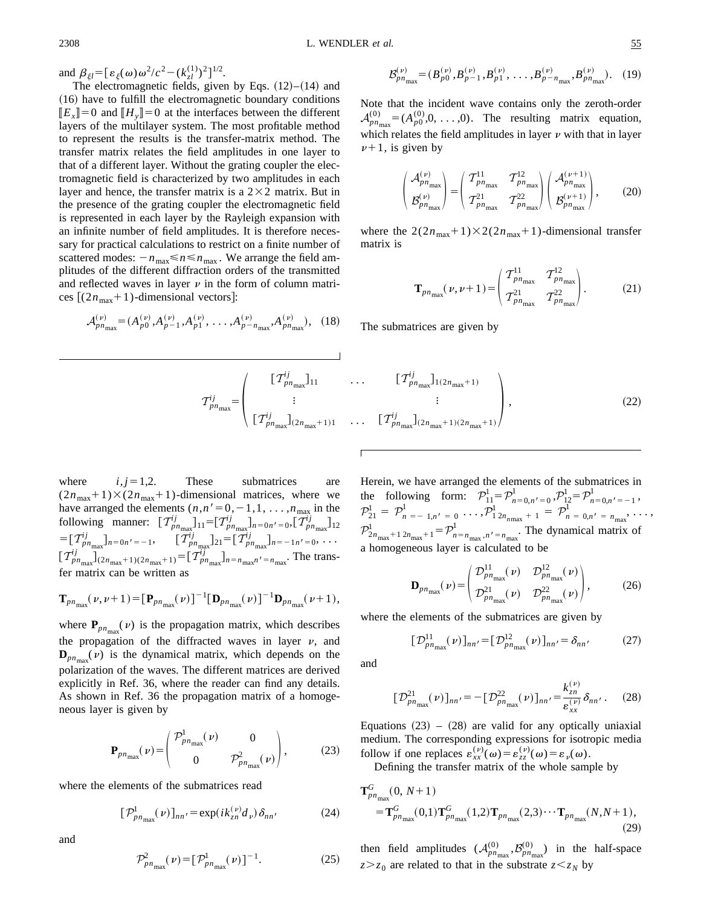and  $\beta_{\xi l} = [\varepsilon_{\xi}(\omega)\omega^2/c^2 - (k_{z l}^{(1)})^2]^{1/2}.$ 

The electromagnetic fields, given by Eqs.  $(12)–(14)$  and  $(16)$  have to fulfill the electromagnetic boundary conditions  $\Vert E_x \Vert = 0$  and  $\Vert H_y \Vert = 0$  at the interfaces between the different layers of the multilayer system. The most profitable method to represent the results is the transfer-matrix method. The transfer matrix relates the field amplitudes in one layer to that of a different layer. Without the grating coupler the electromagnetic field is characterized by two amplitudes in each layer and hence, the transfer matrix is a  $2\times 2$  matrix. But in the presence of the grating coupler the electromagnetic field is represented in each layer by the Rayleigh expansion with an infinite number of field amplitudes. It is therefore necessary for practical calculations to restrict on a finite number of scattered modes:  $-n_{\text{max}} \le n \le n_{\text{max}}$ . We arrange the field amplitudes of the different diffraction orders of the transmitted and reflected waves in layer  $\nu$  in the form of column matrices  $[(2n_{\text{max}}+1)$ -dimensional vectors]:

$$
\mathcal{A}_{pn_{\text{max}}}^{(\nu)} = (A_{p0}^{(\nu)}, A_{p-1}^{(\nu)}, A_{p1}^{(\nu)}, \dots, A_{p-n_{\text{max}}}^{(\nu)}, A_{pn_{\text{max}}}^{(\nu)}), \quad (18)
$$

 $I_{p n_{\text{max}}}$ 

$$
\mathcal{B}_{p n_{\text{max}}}^{(\nu)} = (B_{p0}^{(\nu)}, B_{p-1}^{(\nu)}, B_{p1}^{(\nu)}, \dots, B_{p-n_{\text{max}}}^{(\nu)}, B_{p n_{\text{max}}}^{(\nu)}). (19)
$$

Note that the incident wave contains only the zeroth-order  $A_{p n_{\text{max}}}^{(0)} = (A_{p0}^{(0)}, 0, \dots, 0)$ . The resulting matrix equation, which relates the field amplitudes in layer  $\nu$  with that in layer  $\nu+1$ , is given by

$$
\begin{pmatrix} \mathcal{A}_{p n_{\max}}^{(\nu)} \\ \mathcal{B}_{p n_{\max}}^{(\nu)} \end{pmatrix} = \begin{pmatrix} \mathcal{T}_{p n_{\max}}^{11} & \mathcal{T}_{p n_{\max}}^{12} \\ \mathcal{T}_{p n_{\max}}^{21} & \mathcal{T}_{p n_{\max}}^{22} \end{pmatrix} \begin{pmatrix} \mathcal{A}_{p n_{\max}}^{(\nu+1)} \\ \mathcal{B}_{p n_{\max}}^{(\nu+1)} \end{pmatrix}, \qquad (20)
$$

where the  $2(2n_{\text{max}}+1)\times2(2n_{\text{max}}+1)$ -dimensional transfer matrix is

$$
\mathbf{T}_{p n_{\max}}(\nu, \nu+1) = \begin{pmatrix} T_{p n_{\max}}^{11} & T_{p n_{\max}}^{12} \\ T_{p n_{\max}}^{21} & T_{p n_{\max}}^{22} \end{pmatrix} .
$$
 (21)

The submatrices are given by

$$
\prod_{p n_{\max}}^{ij} = \left( \begin{array}{ccc} [\mathcal{T}_{p n_{\max}}^{ij}]_{11} & \cdots & [\mathcal{T}_{p n_{\max}}^{ij}]_{1(2n_{\max}+1)} \\ \vdots & & \vdots \\ [\mathcal{T}_{p n_{\max}}^{ij}]_{(2n_{\max}+1)1} & \cdots & [\mathcal{T}_{p n_{\max}}^{ij}]_{(2n_{\max}+1)(2n_{\max}+1)} \end{array} \right), \tag{22}
$$

where  $i, j = 1, 2$ . These submatrices are  $(2n_{\text{max}}+1)\times(2n_{\text{max}}+1)$ -dimensional matrices, where we have arranged the elements  $(n, n^{\prime} = 0, -1, 1, \ldots, n_{\text{max}})$  in the following manner:  $[T_{p n_{\text{max}}}^{ij}]_{11} = [T_{p n_{\text{max}}}^{ij}]_{n=0}$   $\{T_{p n_{\text{max}}}^{ij}\}_{12}$  $=\left[\mathcal{T}_{p n_{\text{max}}}^{i j}\right]_{n=0} n'=-1, \qquad \left[\mathcal{T}_{p n_{\text{max}}}^{i j}\right]_{21}=\left[\mathcal{T}_{p n_{\text{max}}}^{i j}\right]_{n=-1} n'=0, \cdots$  $[T_{p n_{\text{max}}}^{ij}]_{(2n_{\text{max}}+1)(2n_{\text{max}}+1)} = [T_{p n_{\text{max}}}^{ij}]_{n=n_{\text{max}}}$  *r* =  $n_{\text{max}}$ . The transfer matrix can be written as

$$
\mathbf{T}_{p n_{\max}}(\nu, \nu+1) = [\mathbf{P}_{p n_{\max}}(\nu)]^{-1} [\mathbf{D}_{p n_{\max}}(\nu)]^{-1} \mathbf{D}_{p n_{\max}}(\nu+1),
$$

where  $P_{p n_{\text{max}}}(\nu)$  is the propagation matrix, which describes the propagation of the diffracted waves in layer  $\nu$ , and  $\mathbf{D}_{p n_{\text{max}}}(\nu)$  is the dynamical matrix, which depends on the polarization of the waves. The different matrices are derived explicitly in Ref. 36, where the reader can find any details. As shown in Ref. 36 the propagation matrix of a homogeneous layer is given by

$$
\mathbf{P}_{pn_{\text{max}}}(\nu) = \begin{pmatrix} \mathcal{P}_{pn_{\text{max}}}^{1}(\nu) & 0 \\ 0 & \mathcal{P}_{pn_{\text{max}}}^{2}(\nu) \end{pmatrix},
$$
(23)

where the elements of the submatrices read

$$
[\mathcal{P}_{p n_{\text{max}}}^{\text{I}}(\nu)]_{nn'} = \exp(i k_{zn}^{(\nu)} d_{\nu}) \delta_{nn'} \tag{24}
$$

and

$$
\mathcal{P}_{p n_{\text{max}}}^2(\nu) = [\mathcal{P}_{p n_{\text{max}}}^1(\nu)]^{-1}.
$$
 (25)

Herein, we have arranged the elements of the submatrices in the following form:  $\mathcal{P}_{11}^1 = \mathcal{P}_{n=0,n'=0}^1$ ,  $\mathcal{P}_{12}^1 = \mathcal{P}_{n=0,n'=-1}^1$ ,  $\mathcal{P}_{21}^1 = \mathcal{P}_{n}^1 = \ldots = \ldots, \mathcal{P}_{12n_{n_{\text{max}}}+1}^1 = \mathcal{P}_{n=0,n'}^1 = \ldots, \ldots,$  $\mathcal{P}_{2n_{\text{max}}+1}^1 z_{n_{\text{max}}+1} = \mathcal{P}_{n=n_{\text{max}}}^1, n' = n_{\text{max}}.$  The dynamical matrix of a homogeneous layer is calculated to be

$$
\mathbf{D}_{p n_{\max}}(\nu) = \begin{pmatrix} \mathcal{D}_{p n_{\max}}^{11}(\nu) & \mathcal{D}_{p n_{\max}}^{12}(\nu) \\ \mathcal{D}_{p n_{\max}}^{21}(\nu) & \mathcal{D}_{p n_{\max}}^{22}(\nu) \end{pmatrix},
$$
(26)

where the elements of the submatrices are given by

$$
[\mathcal{D}_{p n_{\text{max}}}^{11}(\nu)]_{n n'} = [\mathcal{D}_{p n_{\text{max}}}^{12}(\nu)]_{n n'} = \delta_{n n'} \tag{27}
$$

and

$$
\left[\mathcal{D}_{p n_{\text{max}}}^{21}(\nu)\right]_{n n'} = -\left[\mathcal{D}_{p n_{\text{max}}}^{22}(\nu)\right]_{n n'} = \frac{k_{zn}^{(\nu)}}{\varepsilon_{xx}^{(\nu)}} \delta_{n n'}.
$$
 (28)

Equations  $(23)$  –  $(28)$  are valid for any optically uniaxial medium. The corresponding expressions for isotropic media follow if one replaces  $\varepsilon_{xx}^{(\nu)}(\omega) = \varepsilon_{zz}^{(\nu)}(\omega) = \varepsilon_{\nu}(\omega)$ .

Defining the transfer matrix of the whole sample by

$$
\mathbf{T}_{p n_{\text{max}}}^{G}(0, N+1) = \mathbf{T}_{p n_{\text{max}}}^{G}(0, 1) \mathbf{T}_{p n_{\text{max}}}^{G}(1, 2) \mathbf{T}_{p n_{\text{max}}}^{G}(2, 3) \cdots \mathbf{T}_{p n_{\text{max}}}^{G}(N, N+1),
$$
\n(29)

then field amplitudes  $(\mathcal{A}_{p n_{\text{max}}}^{(0)}, \mathcal{B}_{p n_{\text{max}}}^{(0)})$  in the half-space  $z \ge z_0$  are related to that in the substrate  $z \le z_N$  by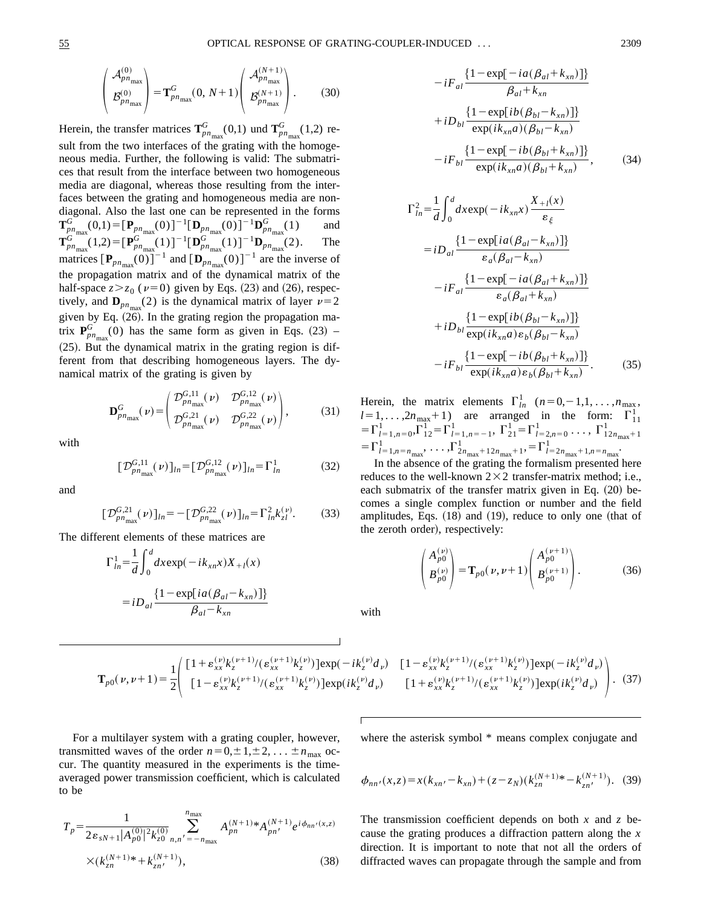$$
\begin{pmatrix} \mathcal{A}_{p n_{\max}}^{(0)} \\ \mathcal{B}_{p n_{\max}}^{(0)} \end{pmatrix} = \mathbf{T}_{p n_{\max}}^G(0, N+1) \begin{pmatrix} \mathcal{A}_{p n_{\max}}^{(N+1)} \\ \mathcal{B}_{p n_{\max}}^{(N+1)} \end{pmatrix} . \tag{30}
$$

Herein, the transfer matrices  $\mathbf{T}_{p n_{\text{max}}}^G(0,1)$  und  $\mathbf{T}_{p n_{\text{max}}}^G(1,2)$  result from the two interfaces of the grating with the homogeneous media. Further, the following is valid: The submatrices that result from the interface between two homogeneous media are diagonal, whereas those resulting from the interfaces between the grating and homogeneous media are nondiagonal. Also the last one can be represented in the forms  $\mathbf{T}_{p n_{\max}}^G(0,1) = [\mathbf{P}_{p n_{\max}}(0)]^{-1} [\mathbf{D}_{p n_{\max}}(0)]^{-1} \mathbf{D}_{p n_{\max}}^G(1)$  and  $\mathbf{T}_{p n_{\text{max}}}(1,2) = [\mathbf{P}_{p n_{\text{max}}}(1)]^{-1} [\mathbf{D}_{p n_{\text{max}}}(1)]^{-1} \mathbf{D}_{p n_{\text{max}}}(2).$  The matrices  $[\mathbf{P}_{p n_{\text{max}}}(0)]^{-1}$  and  $[\mathbf{D}_{p n_{\text{max}}}(0)]^{-1}$  are the inverse of the propagation matrix and of the dynamical matrix of the half-space  $z > z_0$  ( $\nu=0$ ) given by Eqs. (23) and (26), respectively, and  $\mathbf{D}_{p n_{\text{max}}}(2)$  is the dynamical matrix of layer  $\nu=2$ given by Eq.  $(26)$ . In the grating region the propagation matrix  $\mathbf{P}_{p n_{\text{max}}}^G(0)$  has the same form as given in Eqs. (23) –  $(25)$ . But the dynamical matrix in the grating region is different from that describing homogeneous layers. The dynamical matrix of the grating is given by

$$
\mathbf{D}_{p n_{\text{max}}}^{G}(\nu) = \begin{pmatrix} \mathcal{D}_{p n_{\text{max}}}^{G,11}(\nu) & \mathcal{D}_{p n_{\text{max}}}^{G,12}(\nu) \\ \mathcal{D}_{p n_{\text{max}}}^{G,21}(\nu) & \mathcal{D}_{p n_{\text{max}}}^{G,22}(\nu) \end{pmatrix},
$$
(31)

with

$$
\left[\mathcal{D}_{p n_{\text{max}}}^{G,11}(\nu)\right]_{ln} = \left[\mathcal{D}_{p n_{\text{max}}}^{G,12}(\nu)\right]_{ln} = \Gamma_{ln}^1\tag{32}
$$

and

$$
[\mathcal{D}_{p n_{\text{max}}}^{G,21}(\nu)]_{ln} = -[\mathcal{D}_{p n_{\text{max}}}^{G,22}(\nu)]_{ln} = \Gamma_{ln}^2 k_{zl}^{(\nu)}.
$$
 (33)

The different elements of these matrices are

$$
\Gamma_{ln}^{1} = \frac{1}{d} \int_{0}^{d} dx \exp(-ik_{xn}x) X_{+l}(x)
$$

$$
= i D_{al} \frac{\{1 - \exp[ia(\beta_{al} - k_{xn})]\}}{\beta_{al} - k_{xn}}
$$

$$
-iF_{al}\frac{\{1-\exp[-ia(\beta_{al}+k_{xn})]\}}{\beta_{al}+k_{xn}} +iD_{bl}\frac{\{1-\exp[ib(\beta_{bl}-k_{xn})]\}}{\exp(ik_{xn}a)(\beta_{bl}-k_{xn})}\n-iF_{bl}\frac{\{1-\exp[-ib(\beta_{bl}+k_{xn})]\}}{\exp(ik_{xn}a)(\beta_{bl}+k_{xn})},
$$
(34)

$$
\Gamma_{ln}^{2} = \frac{1}{d} \int_{0}^{d} dx \exp(-ik_{xn}x) \frac{X_{+l}(x)}{\varepsilon_{\xi}}
$$
  
\n
$$
= iD_{al} \frac{\{1 - \exp[ia(\beta_{al} - k_{xn})]\}}{\varepsilon_{a}(\beta_{al} - k_{xn})}\
$$
  
\n
$$
- iF_{al} \frac{\{1 - \exp[-ia(\beta_{al} + k_{xn})]\}}{\varepsilon_{a}(\beta_{al} + k_{xn})}\}
$$
  
\n
$$
+ iD_{bl} \frac{\{1 - \exp[i(b(\beta_{bl} - k_{xn})]\}}{\exp(ik_{xn}a)\varepsilon_{b}(\beta_{bl} - k_{xn})}\}
$$
  
\n
$$
- iF_{bl} \frac{\{1 - \exp[-ib(\beta_{bl} + k_{xn})]\}}{\exp(ik_{xn}a)\varepsilon_{b}(\beta_{bl} + k_{xn})}\}.
$$
 (35)

Herein, the matrix elements  $\Gamma_{ln}^1$  (*n*=0,-1,1, ..., *n*<sub>max</sub>,  $l=1,\ldots,2n_{\text{max}}+1$  are arranged in the form:  $\Gamma_{11}^1$  $=\Gamma^1_{l=1,n=0}$ ,  $\Gamma^1_{12} = \Gamma^1_{l=1,n=-1}$ ,  $\Gamma^1_{21} = \Gamma^1_{l=2,n=0}$  ...,  $\Gamma^1_{12n_{\text{max}}+1}$  $=\Gamma^1_{l=1,n=n_{\text{max}}},\ldots,\Gamma^1_{2n_{\text{max}}+12n_{\text{max}}+1},=\Gamma^1_{l=2n_{\text{max}}+1,n=n_{\text{max}}}$ 

In the absence of the grating the formalism presented here reduces to the well-known  $2\times2$  transfer-matrix method; i.e., each submatrix of the transfer matrix given in Eq.  $(20)$  becomes a single complex function or number and the field amplitudes, Eqs.  $(18)$  and  $(19)$ , reduce to only one (that of the zeroth order), respectively:

$$
\begin{pmatrix} A_{p0}^{(\nu)} \\ B_{p0}^{(\nu)} \end{pmatrix} = \mathbf{T}_{p0}(\nu, \nu+1) \begin{pmatrix} A_{p0}^{(\nu+1)} \\ B_{p0}^{(\nu+1)} \end{pmatrix} . \tag{36}
$$

with

$$
\mathbf{T}_{p0}(\nu,\nu+1) = \frac{1}{2} \begin{pmatrix} \left[1+\varepsilon_{xx}^{(\nu)}k_{x}^{(\nu+1)}/(\varepsilon_{xx}^{(\nu+1)}k_{z}^{(\nu)})\right] \exp(-ik_{x}^{(\nu)}d_{\nu}) & \left[1-\varepsilon_{xx}^{(\nu)}k_{z}^{(\nu+1)}/(\varepsilon_{xx}^{(\nu+1)}k_{z}^{(\nu)})\right] \exp(-ik_{z}^{(\nu)}d_{\nu}) \\ \left[1-\varepsilon_{xx}^{(\nu)}k_{z}^{(\nu+1)}/(\varepsilon_{xx}^{(\nu+1)}k_{z}^{(\nu)})\right] \exp(ik_{z}^{(\nu)}d_{\nu}) & \left[1+\varepsilon_{xx}^{(\nu)}k_{z}^{(\nu+1)}/(\varepsilon_{xx}^{(\nu+1)}k_{z}^{(\nu)})\right] \exp(ik_{z}^{(\nu)}d_{\nu}) \end{pmatrix} . \tag{37}
$$

For a multilayer system with a grating coupler, however, transmitted waves of the order  $n=0,\pm 1,\pm 2,\ldots,\pm n_{\max}$  occur. The quantity measured in the experiments is the timeaveraged power transmission coefficient, which is calculated to be

$$
T_{p} = \frac{1}{2\varepsilon_{sN+1}|A_{p0}^{(0)}|^{2}k_{z0}^{(0)}} \sum_{n,n'= -n_{\text{max}}}^{n_{\text{max}}} A_{pn}^{(N+1)*}A_{pn'}^{(N+1)} e^{i\phi_{nn'}(x,z)}
$$

$$
\times (k_{zn}^{(N+1)*} + k_{zn'}^{(N+1)}),
$$
(38)

where the asterisk symbol  $*$  means complex conjugate and

$$
\phi_{nn'}(x,z) = x(k_{xn'} - k_{xn}) + (z - z_N)(k_{zn}^{(N+1)*} - k_{zn'}^{(N+1)}).
$$
 (39)

The transmission coefficient depends on both *x* and *z* because the grating produces a diffraction pattern along the *x* direction. It is important to note that not all the orders of diffracted waves can propagate through the sample and from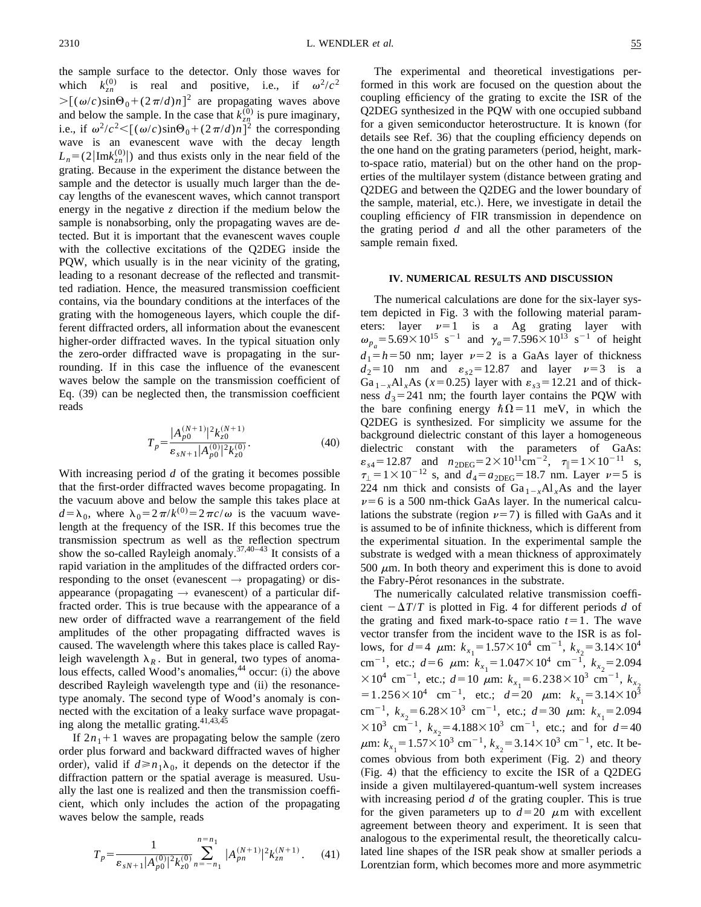the sample surface to the detector. Only those waves for which  $k_{zn}^{(0)}$  is real and positive, i.e., if  $\omega^2/c^2$  $\sum [(\omega/c)\sin\Theta_0 + (2\pi/d)n]^2$  are propagating waves above and below the sample. In the case that  $k_{zn}^{(0)}$  is pure imaginary, i.e., if  $\omega^2/c^2 < [(\omega/c)\sin\Theta_0 + (2\pi/d)n]^2$  the corresponding wave is an evanescent wave with the decay length  $L_n = (2 |Im k_{zn}^{(0)}|)$  and thus exists only in the near field of the grating. Because in the experiment the distance between the sample and the detector is usually much larger than the decay lengths of the evanescent waves, which cannot transport energy in the negative *z* direction if the medium below the sample is nonabsorbing, only the propagating waves are detected. But it is important that the evanescent waves couple with the collective excitations of the Q2DEG inside the PQW, which usually is in the near vicinity of the grating, leading to a resonant decrease of the reflected and transmitted radiation. Hence, the measured transmission coefficient contains, via the boundary conditions at the interfaces of the grating with the homogeneous layers, which couple the different diffracted orders, all information about the evanescent higher-order diffracted waves. In the typical situation only the zero-order diffracted wave is propagating in the surrounding. If in this case the influence of the evanescent waves below the sample on the transmission coefficient of Eq.  $(39)$  can be neglected then, the transmission coefficient reads

$$
T_p = \frac{|A_{p0}^{(N+1)}|^2 k_{z0}^{(N+1)}}{\varepsilon_{sN+1} |A_{p0}^{(0)}|^2 k_{z0}^{(0)}}.
$$
 (40)

With increasing period *d* of the grating it becomes possible that the first-order diffracted waves become propagating. In the vacuum above and below the sample this takes place at  $d = \lambda_0$ , where  $\lambda_0 = 2\pi/k^{(0)} = 2\pi c/\omega$  is the vacuum wavelength at the frequency of the ISR. If this becomes true the transmission spectrum as well as the reflection spectrum show the so-called Rayleigh anomaly.<sup>37,40–43</sup> It consists of a rapid variation in the amplitudes of the diffracted orders corresponding to the onset (evanescent  $\rightarrow$  propagating) or disappearance (propagating  $\rightarrow$  evanescent) of a particular diffracted order. This is true because with the appearance of a new order of diffracted wave a rearrangement of the field amplitudes of the other propagating diffracted waves is caused. The wavelength where this takes place is called Rayleigh wavelength  $\lambda_R$ . But in general, two types of anomalous effects, called Wood's anomalies, $44$  occur: (i) the above described Rayleigh wavelength type and (ii) the resonancetype anomaly. The second type of Wood's anomaly is connected with the excitation of a leaky surface wave propagating along the metallic grating.41,43,45

If  $2n_1+1$  waves are propagating below the sample (zero order plus forward and backward diffracted waves of higher order), valid if  $d \ge n_1 \lambda_0$ , it depends on the detector if the diffraction pattern or the spatial average is measured. Usually the last one is realized and then the transmission coefficient, which only includes the action of the propagating waves below the sample, reads

$$
T_p = \frac{1}{\varepsilon_{sN+1} |A_{p0}^{(0)}|^2 k_{z0}^{(0)}} \sum_{n=-n_1}^{n=n_1} |A_{pn}^{(N+1)}|^2 k_{zn}^{(N+1)}.
$$
 (41)

The experimental and theoretical investigations performed in this work are focused on the question about the coupling efficiency of the grating to excite the ISR of the Q2DEG synthesized in the PQW with one occupied subband for a given semiconductor heterostructure. It is known (for details see Ref. 36) that the coupling efficiency depends on the one hand on the grating parameters (period, height, markto-space ratio, material) but on the other hand on the properties of the multilayer system (distance between grating and Q2DEG and between the Q2DEG and the lower boundary of the sample, material, etc.). Here, we investigate in detail the coupling efficiency of FIR transmission in dependence on the grating period *d* and all the other parameters of the sample remain fixed.

# **IV. NUMERICAL RESULTS AND DISCUSSION**

The numerical calculations are done for the six-layer system depicted in Fig. 3 with the following material parameters: layer  $\nu=1$  is a Ag grating layer with  $\omega_{p_a}$  = 5.69×10<sup>15</sup> s<sup>-1</sup> and  $\gamma_a$  = 7.596×10<sup>13</sup> s<sup>-1</sup> of height  $d_1=h=50$  nm; layer  $\nu=2$  is a GaAs layer of thickness  $d_2=10$  nm and  $\varepsilon_{s2}=12.87$  and layer  $\nu=3$  is a Ga<sub>1-x</sub>Al<sub>x</sub>As ( $x=0.25$ ) layer with  $\varepsilon_{s3}=12.21$  and of thickness  $d_3=241$  nm; the fourth layer contains the PQW with the bare confining energy  $\hbar \Omega = 11$  meV, in which the Q2DEG is synthesized. For simplicity we assume for the background dielectric constant of this layer a homogeneous dielectric constant with the parameters of GaAs:  $\varepsilon_{s4}$ =12.87 and  $n_{2DEG}$ =2×10<sup>11</sup>cm<sup>-2</sup>,  $\tau_{\parallel}$ =1×10<sup>-11</sup> s,  $\tau_{\perp}$  = 1 × 10<sup>-12</sup> s, and  $d_4 = a_{2DEG}$  = 18.7 nm. Layer  $\nu$  = 5 is 224 nm thick and consists of  $Ga_{1-x}Al_xAs$  and the layer  $\nu$ =6 is a 500 nm-thick GaAs layer. In the numerical calculations the substrate (region  $\nu=7$ ) is filled with GaAs and it is assumed to be of infinite thickness, which is different from the experimental situation. In the experimental sample the substrate is wedged with a mean thickness of approximately 500  $\mu$ m. In both theory and experiment this is done to avoid the Fabry-Pe<sup>rot</sup> resonances in the substrate.

The numerically calculated relative transmission coefficient  $-\Delta T/T$  is plotted in Fig. 4 for different periods *d* of the grating and fixed mark-to-space ratio  $t=1$ . The wave vector transfer from the incident wave to the ISR is as follows, for  $d=4$   $\mu$ m:  $k_{x_1} = 1.57 \times 10^4$  cm<sup>-1</sup>,  $k_{x_2} = 3.14 \times 10^4$ cm<sup>-1</sup>, etc.;  $d=6$   $\mu$ m:  $k_{x_1} = 1.047 \times 10^4$  cm<sup>-1</sup>,  $k_{x_2} = 2.094$  $\times 10^4$  cm<sup>-1</sup>, etc.;  $d=10 \mu$ m:  $k_{x_1} = 6.238 \times 10^3$  cm<sup>-1</sup>,  $k_{x_2}$  $=1.256\times10^4$  cm<sup>-1</sup>, etc.;  $d=20$   $\mu$ m:  $k_{x_1} = 3.14\times10^3$ cm<sup>-1</sup>,  $k_{x_2}$ =6.28×10<sup>3</sup> cm<sup>-1</sup>, etc.; *d*=30  $\mu$ m:  $k_{x_1}$ =2.094  $\times 10^3$  cm<sup>-1</sup>,  $k_{x_2} = 4.188 \times 10^3$  cm<sup>-1</sup>, etc.; and for  $d=40$  $\mu$ m:  $k_{x_1}$  = 1.57 × 10<sup>3</sup> cm<sup>-1</sup>,  $k_{x_2}$  = 3.14 × 10<sup>3</sup> cm<sup>-1</sup>, etc. It becomes obvious from both experiment  $(Fig. 2)$  and theory  $(Fig. 4)$  that the efficiency to excite the ISR of a Q2DEG inside a given multilayered-quantum-well system increases with increasing period *d* of the grating coupler. This is true for the given parameters up to  $d=20$   $\mu$ m with excellent agreement between theory and experiment. It is seen that analogous to the experimental result, the theoretically calculated line shapes of the ISR peak show at smaller periods a Lorentzian form, which becomes more and more asymmetric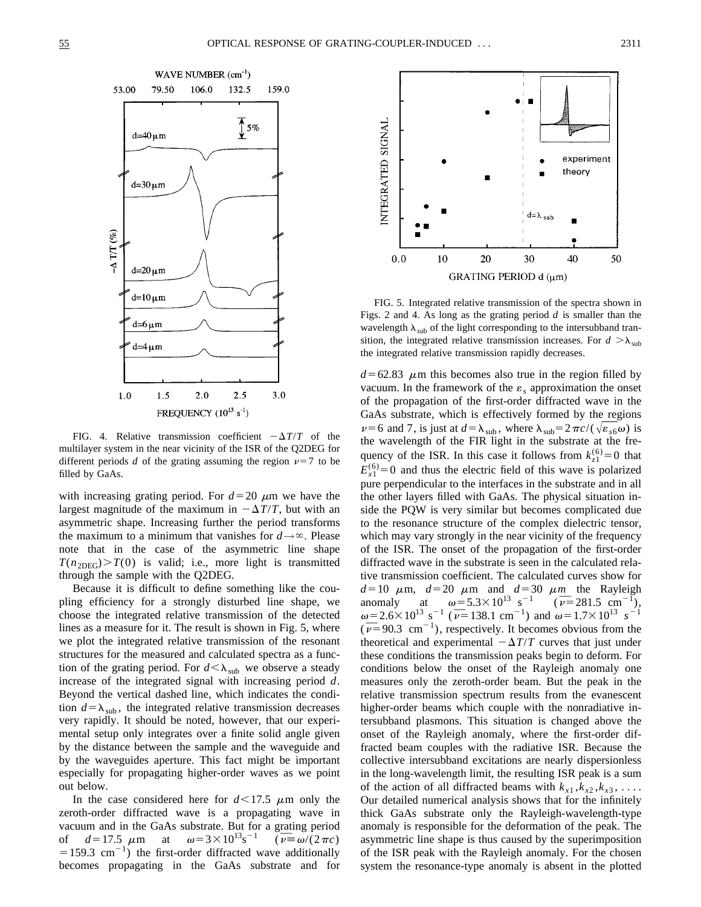

FIG. 4. Relative transmission coefficient  $-\Delta T/T$  of the multilayer system in the near vicinity of the ISR of the Q2DEG for different periods *d* of the grating assuming the region  $\nu=7$  to be filled by GaAs.

with increasing grating period. For  $d=20 \mu m$  we have the largest magnitude of the maximum in  $-\Delta T/T$ , but with an asymmetric shape. Increasing further the period transforms the maximum to a minimum that vanishes for  $d \rightarrow \infty$ . Please note that in the case of the asymmetric line shape  $T(n_{2DEG})$  *T*(0) is valid; i.e., more light is transmitted through the sample with the Q2DEG.

Because it is difficult to define something like the coupling efficiency for a strongly disturbed line shape, we choose the integrated relative transmission of the detected lines as a measure for it. The result is shown in Fig. 5, where we plot the integrated relative transmission of the resonant structures for the measured and calculated spectra as a function of the grating period. For  $d < \lambda_{sub}$  we observe a steady increase of the integrated signal with increasing period *d*. Beyond the vertical dashed line, which indicates the condition  $d = \lambda_{sub}$ , the integrated relative transmission decreases very rapidly. It should be noted, however, that our experimental setup only integrates over a finite solid angle given by the distance between the sample and the waveguide and by the waveguides aperture. This fact might be important especially for propagating higher-order waves as we point out below.

In the case considered here for  $d$ <17.5  $\mu$ m only the zeroth-order diffracted wave is a propagating wave in vacuum and in the GaAs substrate. But for a grating period vacuum and in the GaAs substrate. But for a grating period<br>of  $d=17.5 \mu$ m at  $\omega=3\times10^{13}s^{-1}$   $(\bar{\nu} \equiv \omega/(2\pi c))$  $=159.3$  cm<sup>-1</sup>) the first-order diffracted wave additionally becomes propagating in the GaAs substrate and for



FIG. 5. Integrated relative transmission of the spectra shown in Figs. 2 and 4. As long as the grating period *d* is smaller than the wavelength  $\lambda_{sub}$  of the light corresponding to the intersubband transition, the integrated relative transmission increases. For  $d > \lambda_{sub}$ the integrated relative transmission rapidly decreases.

 $d=62.83$   $\mu$ m this becomes also true in the region filled by vacuum. In the framework of the  $\varepsilon_s$  approximation the onset of the propagation of the first-order diffracted wave in the GaAs substrate, which is effectively formed by the regions  $\nu$ =6 and 7, is just at *d* =  $\lambda$ <sub>sub</sub>, where  $\lambda$ <sub>sub</sub>=2 $\pi$ *c*/( $\sqrt{\varepsilon_{s6}}\omega$ ) is the wavelength of the FIR light in the substrate at the frequency of the ISR. In this case it follows from  $k_{z_1}^{(6)} = 0$  that  $E_{x1}^{(6)} = 0$  and thus the electric field of this wave is polarized pure perpendicular to the interfaces in the substrate and in all the other layers filled with GaAs. The physical situation inside the PQW is very similar but becomes complicated due to the resonance structure of the complex dielectric tensor, which may vary strongly in the near vicinity of the frequency of the ISR. The onset of the propagation of the first-order diffracted wave in the substrate is seen in the calculated relative transmission coefficient. The calculated curves show for  $d=10 \mu m$ ,  $d=20 \mu m$  and  $d=30 \mu m$  the Rayleigh  $d = 10 \mu$ m,  $d = 20 \mu$ m and  $d = 30 \mu$ m the Rayleigh<br>anomaly at  $\omega = 5.3 \times 10^{13} \text{ s}^{-1}$   $(\bar{\nu} = 281.5 \text{ cm}^{-1})$ , anomaly at  $\omega = 5.3 \times 10^{15}$  s<sup>2</sup> ( $\nu = 281.5$  cm<sup>2</sup>),<br>  $\omega = 2.6 \times 10^{13}$  s<sup>2</sup> ( $\overline{\nu} = 138.1$  cm<sup>2</sup>) and  $\omega = 1.7 \times 10^{13}$  s<sup>2</sup>  $\omega$ =2.6×10<sup>co</sup> s<sup>2</sup> ( $\nu$ =138.1 cm<sup>2</sup>) and  $\omega$ =1.7×10<sup>co</sup> s<sup>2</sup><br>( $\overline{\nu}$ =90.3 cm<sup>-1</sup>), respectively. It becomes obvious from the theoretical and experimental  $-\Delta T/T$  curves that just under these conditions the transmission peaks begin to deform. For conditions below the onset of the Rayleigh anomaly one measures only the zeroth-order beam. But the peak in the relative transmission spectrum results from the evanescent higher-order beams which couple with the nonradiative intersubband plasmons. This situation is changed above the onset of the Rayleigh anomaly, where the first-order diffracted beam couples with the radiative ISR. Because the collective intersubband excitations are nearly dispersionless in the long-wavelength limit, the resulting ISR peak is a sum of the action of all diffracted beams with  $k_{x1}$ ,  $k_{x2}$ ,  $k_{x3}$ , .... Our detailed numerical analysis shows that for the infinitely thick GaAs substrate only the Rayleigh-wavelength-type anomaly is responsible for the deformation of the peak. The asymmetric line shape is thus caused by the superimposition of the ISR peak with the Rayleigh anomaly. For the chosen system the resonance-type anomaly is absent in the plotted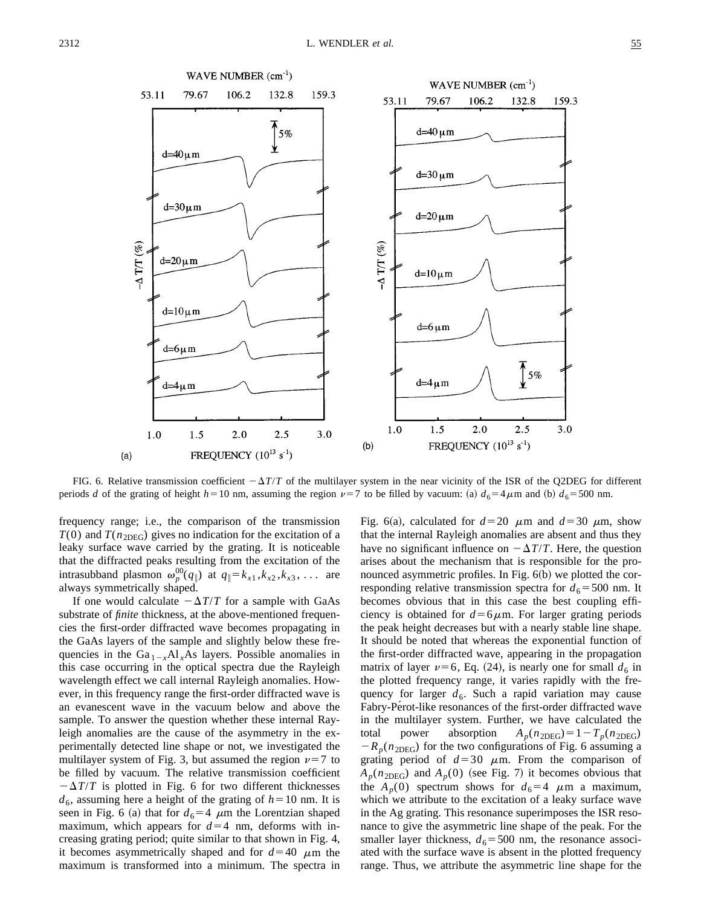

FIG. 6. Relative transmission coefficient  $-\Delta T/T$  of the multilayer system in the near vicinity of the ISR of the Q2DEG for different periods *d* of the grating of height *h*=10 nm, assuming the region  $\nu$ =7 to be filled by vacuum: (a)  $d_6=4\mu$ m and (b)  $d_6=500$  nm.

frequency range; i.e., the comparison of the transmission  $T(0)$  and  $T(n_{2DEG})$  gives no indication for the excitation of a leaky surface wave carried by the grating. It is noticeable that the diffracted peaks resulting from the excitation of the intrasubband plasmon  $\omega_p^{00}(q_{\parallel})$  at  $q_{\parallel} = k_{x1}, k_{x2}, k_{x3}, \ldots$  are always symmetrically shaped.

If one would calculate  $-\Delta T/T$  for a sample with GaAs substrate of *finite* thickness, at the above-mentioned frequencies the first-order diffracted wave becomes propagating in the GaAs layers of the sample and slightly below these frequencies in the Ga<sub>1-x</sub>Al<sub>x</sub>As layers. Possible anomalies in this case occurring in the optical spectra due the Rayleigh wavelength effect we call internal Rayleigh anomalies. However, in this frequency range the first-order diffracted wave is an evanescent wave in the vacuum below and above the sample. To answer the question whether these internal Rayleigh anomalies are the cause of the asymmetry in the experimentally detected line shape or not, we investigated the multilayer system of Fig. 3, but assumed the region  $\nu=7$  to be filled by vacuum. The relative transmission coefficient  $-\Delta T/T$  is plotted in Fig. 6 for two different thicknesses  $d_6$ , assuming here a height of the grating of  $h=10$  nm. It is seen in Fig. 6 (a) that for  $d_6=4 \mu m$  the Lorentzian shaped maximum, which appears for  $d=4$  nm, deforms with increasing grating period; quite similar to that shown in Fig. 4, it becomes asymmetrically shaped and for  $d=40$   $\mu$ m the maximum is transformed into a minimum. The spectra in Fig. 6(a), calculated for  $d=20$   $\mu$ m and  $d=30$   $\mu$ m, show that the internal Rayleigh anomalies are absent and thus they have no significant influence on  $-\Delta T/T$ . Here, the question arises about the mechanism that is responsible for the pronounced asymmetric profiles. In Fig.  $6(b)$  we plotted the corresponding relative transmission spectra for  $d_6$ =500 nm. It becomes obvious that in this case the best coupling efficiency is obtained for  $d=6\,\mu\text{m}$ . For larger grating periods the peak height decreases but with a nearly stable line shape. It should be noted that whereas the exponential function of the first-order diffracted wave, appearing in the propagation matrix of layer  $\nu=6$ , Eq. (24), is nearly one for small  $d_6$  in the plotted frequency range, it varies rapidly with the frequency for larger  $d_6$ . Such a rapid variation may cause Fabry-Pérot-like resonances of the first-order diffracted wave in the multilayer system. Further, we have calculated the total power absorption  $A_p(n_{2DEG}) = 1 - T_p(n_{2DEG})$  $-R_p(n_{2DEG})$  for the two configurations of Fig. 6 assuming a grating period of  $d=30$   $\mu$ m. From the comparison of  $A_p(n_{2DEG})$  and  $A_p(0)$  (see Fig. 7) it becomes obvious that the  $A_p(0)$  spectrum shows for  $d_6=4$   $\mu$ m a maximum, which we attribute to the excitation of a leaky surface wave in the Ag grating. This resonance superimposes the ISR resonance to give the asymmetric line shape of the peak. For the smaller layer thickness,  $d_6$ =500 nm, the resonance associated with the surface wave is absent in the plotted frequency range. Thus, we attribute the asymmetric line shape for the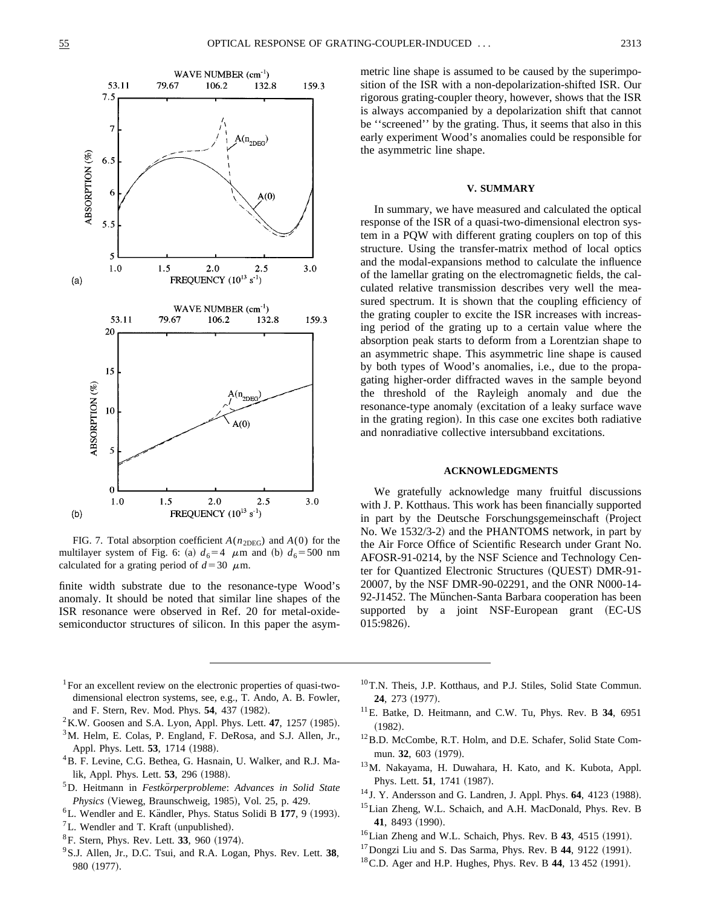

FIG. 7. Total absorption coefficient  $A(n_{2DEG})$  and  $A(0)$  for the multilayer system of Fig. 6: (a)  $d_6=4 \mu$ m and (b)  $d_6=500 \text{ nm}$ calculated for a grating period of  $d=30$   $\mu$ m.

finite width substrate due to the resonance-type Wood's anomaly. It should be noted that similar line shapes of the ISR resonance were observed in Ref. 20 for metal-oxidesemiconductor structures of silicon. In this paper the asymmetric line shape is assumed to be caused by the superimposition of the ISR with a non-depolarization-shifted ISR. Our rigorous grating-coupler theory, however, shows that the ISR is always accompanied by a depolarization shift that cannot be ''screened'' by the grating. Thus, it seems that also in this early experiment Wood's anomalies could be responsible for the asymmetric line shape.

## **V. SUMMARY**

In summary, we have measured and calculated the optical response of the ISR of a quasi-two-dimensional electron system in a PQW with different grating couplers on top of this structure. Using the transfer-matrix method of local optics and the modal-expansions method to calculate the influence of the lamellar grating on the electromagnetic fields, the calculated relative transmission describes very well the measured spectrum. It is shown that the coupling efficiency of the grating coupler to excite the ISR increases with increasing period of the grating up to a certain value where the absorption peak starts to deform from a Lorentzian shape to an asymmetric shape. This asymmetric line shape is caused by both types of Wood's anomalies, i.e., due to the propagating higher-order diffracted waves in the sample beyond the threshold of the Rayleigh anomaly and due the resonance-type anomaly (excitation of a leaky surface wave in the grating region). In this case one excites both radiative and nonradiative collective intersubband excitations.

## **ACKNOWLEDGMENTS**

We gratefully acknowledge many fruitful discussions with J. P. Kotthaus. This work has been financially supported in part by the Deutsche Forschungsgemeinschaft (Project No. We 1532/3-2) and the PHANTOMS network, in part by the Air Force Office of Scientific Research under Grant No. AFOSR-91-0214, by the NSF Science and Technology Center for Quantized Electronic Structures (QUEST) DMR-91-20007, by the NSF DMR-90-02291, and the ONR N000-14- 92-J1452. The München-Santa Barbara cooperation has been supported by a joint NSF-European grant (EC-US 015:9826).

- <sup>1</sup>For an excellent review on the electronic properties of quasi-twodimensional electron systems, see, e.g., T. Ando, A. B. Fowler, and F. Stern, Rev. Mod. Phys. 54, 437 (1982).
- ${}^{2}$ K.W. Goosen and S.A. Lyon, Appl. Phys. Lett. **47**, 1257 (1985).
- <sup>3</sup>M. Helm, E. Colas, P. England, F. DeRosa, and S.J. Allen, Jr., Appl. Phys. Lett. 53, 1714 (1988).
- 4B. F. Levine, C.G. Bethea, G. Hasnain, U. Walker, and R.J. Malik, Appl. Phys. Lett. **53**, 296 (1988).
- 5D. Heitmann in *Festko¨rperprobleme*: *Advances in Solid State Physics* (Vieweg, Braunschweig, 1985), Vol. 25, p. 429.
- <sup>6</sup>L. Wendler and E. Kändler, Phys. Status Solidi B 177, 9 (1993).
- ${}^{7}$ L. Wendler and T. Kraft (unpublished).
- <sup>8</sup>F. Stern, Phys. Rev. Lett. 33, 960 (1974).
- 9S.J. Allen, Jr., D.C. Tsui, and R.A. Logan, Phys. Rev. Lett. **38**, 980 (1977).
- 10T.N. Theis, J.P. Kotthaus, and P.J. Stiles, Solid State Commun. **24**, 273 (1977).
- 11E. Batke, D. Heitmann, and C.W. Tu, Phys. Rev. B **34**, 6951  $(1982).$
- 12B.D. McCombe, R.T. Holm, and D.E. Schafer, Solid State Commun. 32, 603 (1979).
- 13M. Nakayama, H. Duwahara, H. Kato, and K. Kubota, Appl. Phys. Lett. 51, 1741 (1987).
- <sup>14</sup> J. Y. Andersson and G. Landren, J. Appl. Phys. **64**, 4123 (1988).
- <sup>15</sup>Lian Zheng, W.L. Schaich, and A.H. MacDonald, Phys. Rev. B **41**, 8493 (1990).
- <sup>16</sup>Lian Zheng and W.L. Schaich, Phys. Rev. B **43**, 4515 (1991).
- <sup>17</sup>Dongzi Liu and S. Das Sarma, Phys. Rev. B 44, 9122 (1991).
- $^{18}$  C.D. Ager and H.P. Hughes, Phys. Rev. B 44, 13 452 (1991).